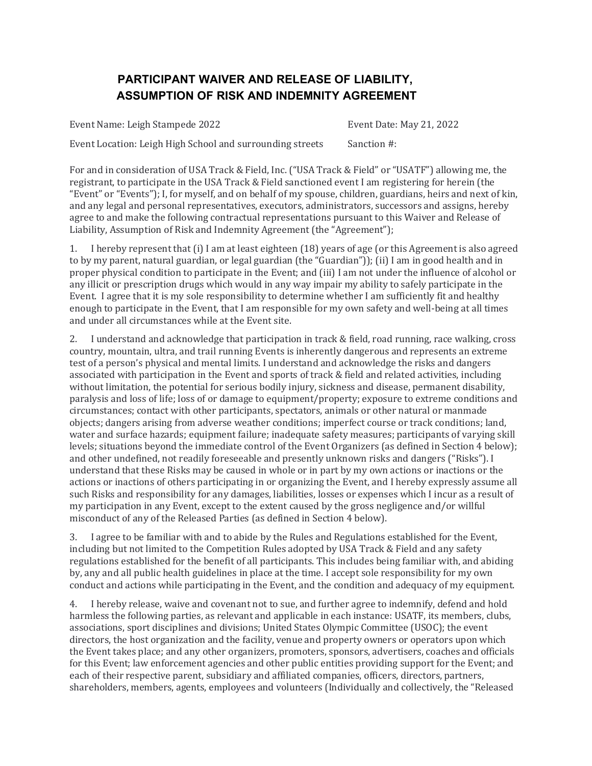## **PARTICIPANT WAIVER AND RELEASE OF LIABILITY, ASSUMPTION OF RISK AND INDEMNITY AGREEMENT**

Event Name: Leigh Stampede 2022 Event Date: May 21, 2022 Event Location: Leigh High School and surrounding streets Sanction #:

For and in consideration of USA Track & Field, Inc. ("USA Track & Field" or "USATF") allowing me, the registrant, to participate in the USA Track & Field sanctioned event I am registering for herein (the "Event" or "Events"); I, for myself, and on behalf of my spouse, children, guardians, heirs and next of kin, and any legal and personal representatives, executors, administrators, successors and assigns, hereby agree to and make the following contractual representations pursuant to this Waiver and Release of Liability, Assumption of Risk and Indemnity Agreement (the "Agreement");

1. I hereby represent that (i) I am at least eighteen (18) years of age (or this Agreement is also agreed to by my parent, natural guardian, or legal guardian (the "Guardian")); (ii) I am in good health and in proper physical condition to participate in the Event; and (iii) I am not under the influence of alcohol or any illicit or prescription drugs which would in any way impair my ability to safely participate in the Event. I agree that it is my sole responsibility to determine whether I am sufficiently fit and healthy enough to participate in the Event, that I am responsible for my own safety and well-being at all times and under all circumstances while at the Event site.

2. I understand and acknowledge that participation in track & field, road running, race walking, cross country, mountain, ultra, and trail running Events is inherently dangerous and represents an extreme test of a person's physical and mental limits. I understand and acknowledge the risks and dangers associated with participation in the Event and sports of track & field and related activities, including without limitation, the potential for serious bodily injury, sickness and disease, permanent disability, paralysis and loss of life; loss of or damage to equipment/property; exposure to extreme conditions and circumstances; contact with other participants, spectators, animals or other natural or manmade objects; dangers arising from adverse weather conditions; imperfect course or track conditions; land, water and surface hazards; equipment failure; inadequate safety measures; participants of varying skill levels; situations beyond the immediate control of the Event Organizers (as defined in Section 4 below); and other undefined, not readily foreseeable and presently unknown risks and dangers ("Risks"). I understand that these Risks may be caused in whole or in part by my own actions or inactions or the actions or inactions of others participating in or organizing the Event, and I hereby expressly assume all such Risks and responsibility for any damages, liabilities, losses or expenses which I incur as a result of my participation in any Event, except to the extent caused by the gross negligence and/or willful misconduct of any of the Released Parties (as defined in Section 4 below).

3. I agree to be familiar with and to abide by the Rules and Regulations established for the Event, including but not limited to the Competition Rules adopted by USA Track & Field and any safety regulations established for the benefit of all participants. This includes being familiar with, and abiding by, any and all public health guidelines in place at the time. I accept sole responsibility for my own conduct and actions while participating in the Event, and the condition and adequacy of my equipment.

4. I hereby release, waive and covenant not to sue, and further agree to indemnify, defend and hold harmless the following parties, as relevant and applicable in each instance: USATF, its members, clubs, associations, sport disciplines and divisions; United States Olympic Committee (USOC); the event directors, the host organization and the facility, venue and property owners or operators upon which the Event takes place; and any other organizers, promoters, sponsors, advertisers, coaches and officials for this Event; law enforcement agencies and other public entities providing support for the Event; and each of their respective parent, subsidiary and affiliated companies, officers, directors, partners, shareholders, members, agents, employees and volunteers (Individually and collectively, the "Released